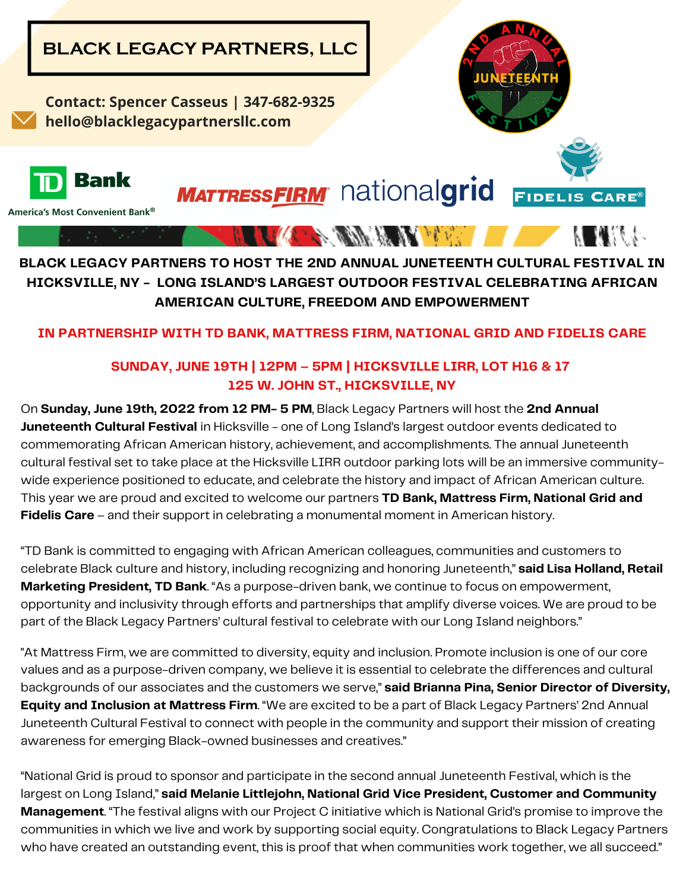

# **BLACK LEGACY PARTNERS TO HOST THE 2ND ANNUAL JUNETEENTH CULTURAL FESTIVAL IN HICKSVILLE, NY - LONG ISLAND'S LARGEST OUTDOOR FESTIVAL CELEBRATING AFRICAN AMERICAN CULTURE, FREEDOM AND EMPOWERMENT**

## **IN PARTNERSHIP WITH TD BANK, MATTRESS FIRM, NATIONAL GRID AND FIDELIS CARE**

# **SUNDAY, JUNE 19TH | 12PM – 5PM | HICKSVILLE LIRR, LOT H16 & 17 125 W. JOHN ST., HICKSVILLE, NY**

On **Sunday, June 19th, 2022 from 12 PM- 5 PM**, Black Legacy Partners will host the **2nd Annual Juneteenth Cultural Festival** in Hicksville - one of Long Island's largest outdoor events dedicated to commemorating African American history, achievement, and accomplishments. The annual Juneteenth cultural festival set to take place at the Hicksville LIRR outdoor parking lots will be an immersive communitywide experience positioned to educate, and celebrate the history and impact of African American culture. This year we are proud and excited to welcome our partners **TD Bank, Mattress Firm, National Grid and Fidelis Care** – and their support in celebrating a monumental moment in American history.

"TD Bank is committed to engaging with African American colleagues, communities and customers to celebrate Black culture and history, including recognizing and honoring Juneteenth," **said Lisa Holland, Retail Marketing President, TD Bank**. "As a purpose-driven bank, we continue to focus on empowerment, opportunity and inclusivity through efforts and partnerships that amplify diverse voices. We are proud to be part of the Black Legacy Partners' cultural festival to celebrate with our Long Island neighbors."

"At Mattress Firm, we are committed to diversity, equity and inclusion. Promote inclusion is one of our core values and as a purpose-driven company, we believe it is essential to celebrate the differences and cultural backgrounds of our associates and the customers we serve," **said Brianna Pina, Senior Director of Diversity, Equity and Inclusion at Mattress Firm**. "We are excited to be a part of Black Legacy Partners' 2nd Annual Juneteenth Cultural Festival to connect with people in the community and support their mission of creating awareness for emerging Black-owned businesses and creatives."

"National Grid is proud to sponsor and participate in the second annual Juneteenth Festival, which is the largest on Long Island," **said Melanie Littlejohn, National Grid Vice President, Customer and Community Management**. "The festival aligns with our Project C initiative which is National Grid's promise to improve the communities in which we live and work by supporting social equity. Congratulations to Black Legacy Partners who have created an outstanding event, this is proof that when communities work together, we all succeed."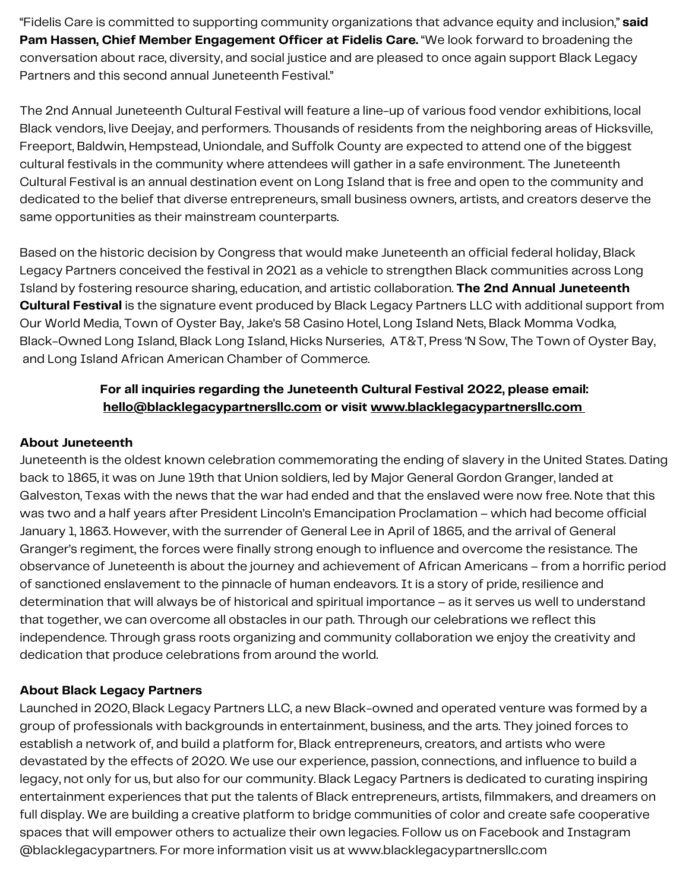"Fidelis Care is committed to supporting community organizations that advance equity and inclusion," **said Pam Hassen, Chief Member Engagement Officer at Fidelis Care.** "We look forward to broadening the conversation about race, diversity, and social justice and are pleased to once again support Black Legacy Partners and this second annual Juneteenth Festival."

The 2nd Annual Juneteenth Cultural Festival will feature a line-up of various food vendor exhibitions, local Black vendors, live Deejay, and performers. Thousands of residents from the neighboring areas of Hicksville, Freeport, Baldwin, Hempstead, Uniondale, and Suffolk County are expected to attend one of the biggest cultural festivals in the community where attendees will gather in a safe environment. The Juneteenth Cultural Festival is an annual destination event on Long Island that is free and open to the community and dedicated to the belief that diverse entrepreneurs, small business owners, artists, and creators deserve the same opportunities as their mainstream counterparts.

Based on the historic decision by Congress that would make Juneteenth an official federal holiday, Black Legacy Partners conceived the festival in 2021 as a vehicle to strengthen Black communities across Long Island by fostering resource sharing, education, and artistic collaboration. **The 2nd Annual Juneteenth Cultural Festival** is the signature event produced by Black Legacy Partners LLC with additional support from Our World Media, Town of Oyster Bay, Jake's 58 Casino Hotel, Long Island Nets, Black Momma Vodka, Black-Owned Long Island, Black Long Island, Hicks Nurseries, AT&T, Press 'N Sow, The Town of Oyster Bay, and Long Island African American Chamber of Commerce.

## **For all inquiries regarding the Juneteenth Cultural Festival 2022, please email: [hello@blacklegacypartnersllc.com](mailto:hello@blacklegacypartnersllc.com) or visit [www.blacklegacypartnersllc.com](https://www.blacklegacypartnersllc.com/)**

## **About Juneteenth**

Juneteenth is the oldest known celebration commemorating the ending of slavery in the United States. Dating back to 1865, it was on June 19th that Union soldiers, led by Major General Gordon Granger, landed at Galveston, Texas with the news that the war had ended and that the enslaved were now free. Note that this was two and a half years after President Lincoln's Emancipation Proclamation – which had become official January 1, 1863. However, with the surrender of General Lee in April of 1865, and the arrival of General Granger's regiment, the forces were finally strong enough to influence and overcome the resistance. The observance of Juneteenth is about the journey and achievement of African Americans – from a horrific period of sanctioned enslavement to the pinnacle of human endeavors. It is a story of pride, resilience and determination that will always be of historical and spiritual importance – as it serves us well to understand that together, we can overcome all obstacles in our path. Through our celebrations we reflect this independence. Through grass roots organizing and community collaboration we enjoy the creativity and dedication that produce celebrations from around the world.

## **About Black Legacy Partners**

Launched in 2020, Black Legacy Partners LLC, a new Black-owned and operated venture was formed by a group of professionals with backgrounds in entertainment, business, and the arts. They joined forces to establish a network of, and build a platform for, Black entrepreneurs, creators, and artists who were devastated by the effects of 2020. We use our experience, passion, connections, and influence to build a legacy, not only for us, but also for our community. Black Legacy Partners is dedicated to curating inspiring entertainment experiences that put the talents of Black entrepreneurs, artists, filmmakers, and dreamers on full display. We are building a creative platform to bridge communities of color and create safe cooperative spaces that will empower others to actualize their own legacies. Follow us on [Facebook](https://www.facebook.com/blacklegacypartners) and [Instagram](https://www.instagram.com/blacklegacypartners/) @blacklegacypartners. For more information visit us at [www.blacklegacypartnersllc.com](http://www.blacklegacypartnersllc.com/)